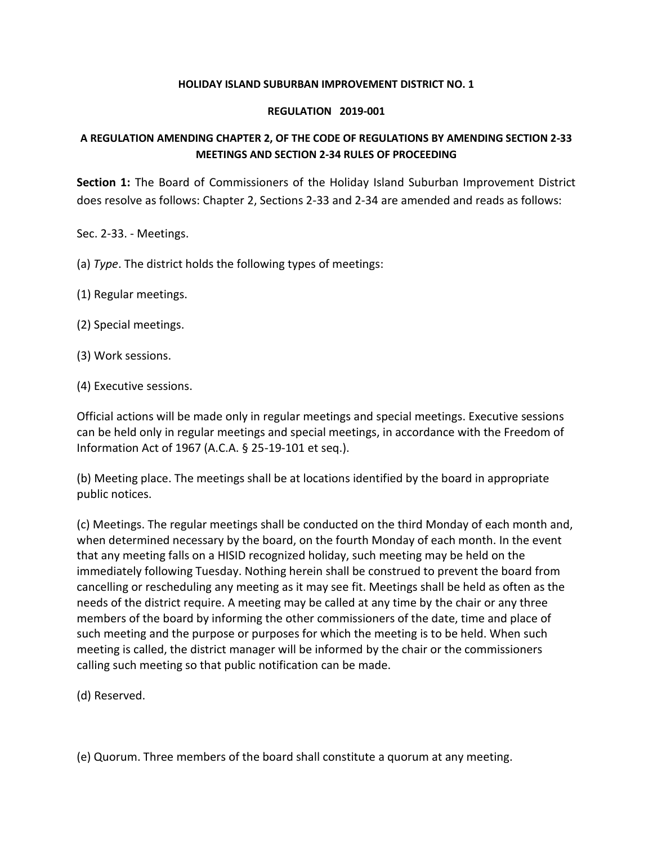## **HOLIDAY ISLAND SUBURBAN IMPROVEMENT DISTRICT NO. 1**

## **REGULATION 2019-001**

## **A REGULATION AMENDING CHAPTER 2, OF THE CODE OF REGULATIONS BY AMENDING SECTION 2-33 MEETINGS AND SECTION 2-34 RULES OF PROCEEDING**

**Section 1:** The Board of Commissioners of the Holiday Island Suburban Improvement District does resolve as follows: Chapter 2, Sections 2-33 and 2-34 are amended and reads as follows:

Sec. 2-33. - Meetings.

- (a) *Type*. The district holds the following types of meetings:
- (1) Regular meetings.
- (2) Special meetings.
- (3) Work sessions.
- (4) Executive sessions.

Official actions will be made only in regular meetings and special meetings. Executive sessions can be held only in regular meetings and special meetings, in accordance with the Freedom of Information Act of 1967 (A.C.A. § 25-19-101 et seq.).

(b) Meeting place. The meetings shall be at locations identified by the board in appropriate public notices.

(c) Meetings. The regular meetings shall be conducted on the third Monday of each month and, when determined necessary by the board, on the fourth Monday of each month. In the event that any meeting falls on a HISID recognized holiday, such meeting may be held on the immediately following Tuesday. Nothing herein shall be construed to prevent the board from cancelling or rescheduling any meeting as it may see fit. Meetings shall be held as often as the needs of the district require. A meeting may be called at any time by the chair or any three members of the board by informing the other commissioners of the date, time and place of such meeting and the purpose or purposes for which the meeting is to be held. When such meeting is called, the district manager will be informed by the chair or the commissioners calling such meeting so that public notification can be made.

(d) Reserved.

(e) Quorum. Three members of the board shall constitute a quorum at any meeting.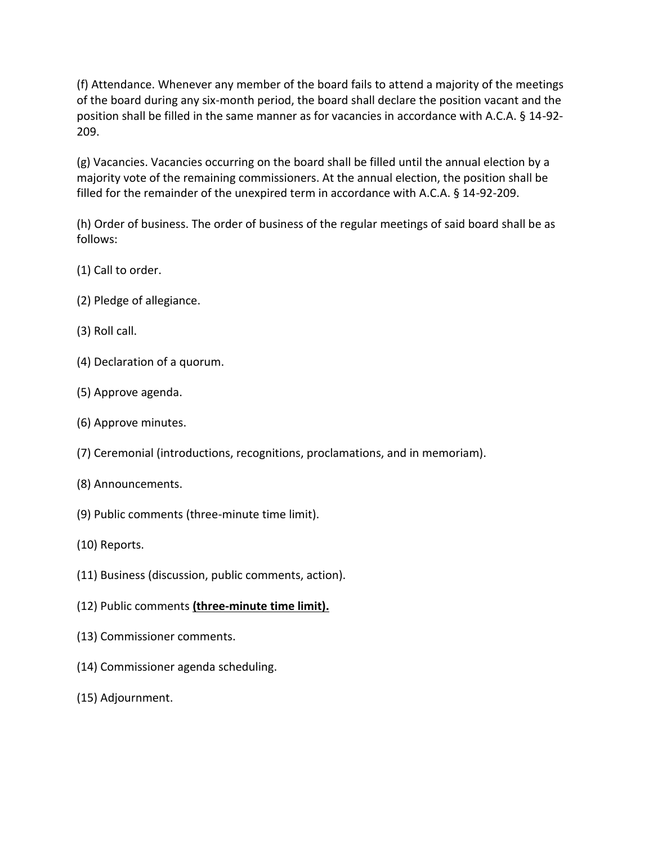(f) Attendance. Whenever any member of the board fails to attend a majority of the meetings of the board during any six-month period, the board shall declare the position vacant and the position shall be filled in the same manner as for vacancies in accordance with A.C.A. § 14-92- 209.

(g) Vacancies. Vacancies occurring on the board shall be filled until the annual election by a majority vote of the remaining commissioners. At the annual election, the position shall be filled for the remainder of the unexpired term in accordance with A.C.A. § 14-92-209.

(h) Order of business. The order of business of the regular meetings of said board shall be as follows:

- (1) Call to order.
- (2) Pledge of allegiance.
- (3) Roll call.
- (4) Declaration of a quorum.
- (5) Approve agenda.
- (6) Approve minutes.
- (7) Ceremonial (introductions, recognitions, proclamations, and in memoriam).
- (8) Announcements.
- (9) Public comments (three-minute time limit).
- (10) Reports.
- (11) Business (discussion, public comments, action).
- (12) Public comments **(three-minute time limit).**
- (13) Commissioner comments.
- (14) Commissioner agenda scheduling.
- (15) Adjournment.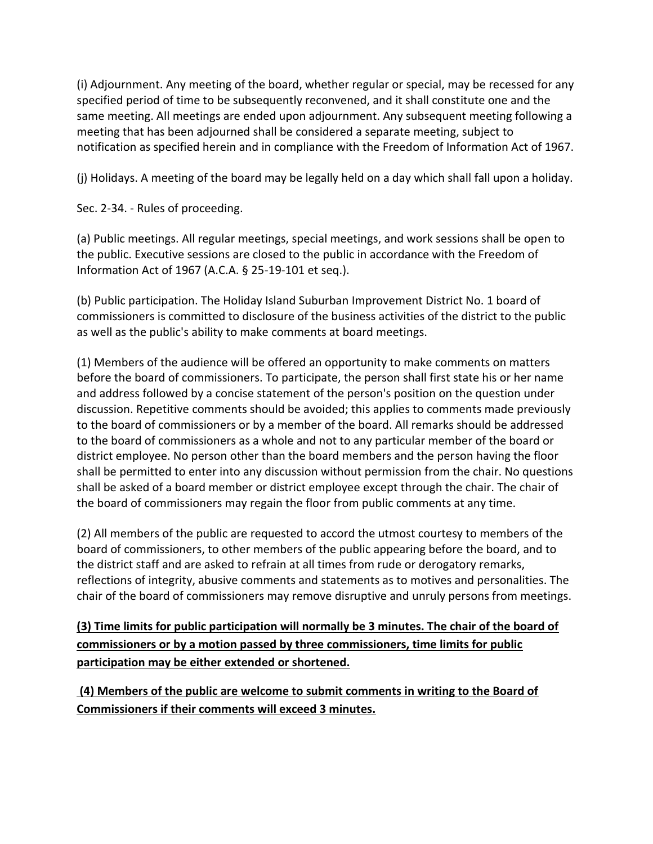(i) Adjournment. Any meeting of the board, whether regular or special, may be recessed for any specified period of time to be subsequently reconvened, and it shall constitute one and the same meeting. All meetings are ended upon adjournment. Any subsequent meeting following a meeting that has been adjourned shall be considered a separate meeting, subject to notification as specified herein and in compliance with the Freedom of Information Act of 1967.

(j) Holidays. A meeting of the board may be legally held on a day which shall fall upon a holiday.

Sec. 2-34. - Rules of proceeding.

(a) Public meetings. All regular meetings, special meetings, and work sessions shall be open to the public. Executive sessions are closed to the public in accordance with the Freedom of Information Act of 1967 (A.C.A. § 25-19-101 et seq.).

(b) Public participation. The Holiday Island Suburban Improvement District No. 1 board of commissioners is committed to disclosure of the business activities of the district to the public as well as the public's ability to make comments at board meetings.

(1) Members of the audience will be offered an opportunity to make comments on matters before the board of commissioners. To participate, the person shall first state his or her name and address followed by a concise statement of the person's position on the question under discussion. Repetitive comments should be avoided; this applies to comments made previously to the board of commissioners or by a member of the board. All remarks should be addressed to the board of commissioners as a whole and not to any particular member of the board or district employee. No person other than the board members and the person having the floor shall be permitted to enter into any discussion without permission from the chair. No questions shall be asked of a board member or district employee except through the chair. The chair of the board of commissioners may regain the floor from public comments at any time.

(2) All members of the public are requested to accord the utmost courtesy to members of the board of commissioners, to other members of the public appearing before the board, and to the district staff and are asked to refrain at all times from rude or derogatory remarks, reflections of integrity, abusive comments and statements as to motives and personalities. The chair of the board of commissioners may remove disruptive and unruly persons from meetings.

**(3) Time limits for public participation will normally be 3 minutes. The chair of the board of commissioners or by a motion passed by three commissioners, time limits for public participation may be either extended or shortened.** 

**(4) Members of the public are welcome to submit comments in writing to the Board of Commissioners if their comments will exceed 3 minutes.**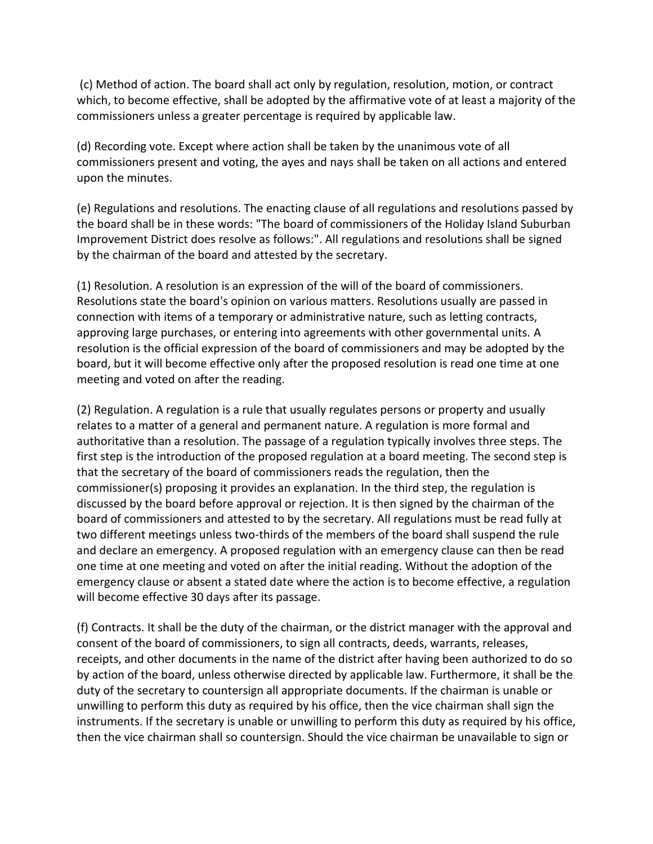(c) Method of action. The board shall act only by regulation, resolution, motion, or contract which, to become effective, shall be adopted by the affirmative vote of at least a majority of the commissioners unless a greater percentage is required by applicable law.

(d) Recording vote. Except where action shall be taken by the unanimous vote of all commissioners present and voting, the ayes and nays shall be taken on all actions and entered upon the minutes.

(e) Regulations and resolutions. The enacting clause of all regulations and resolutions passed by the board shall be in these words: "The board of commissioners of the Holiday Island Suburban Improvement District does resolve as follows:". All regulations and resolutions shall be signed by the chairman of the board and attested by the secretary.

(1) Resolution. A resolution is an expression of the will of the board of commissioners. Resolutions state the board's opinion on various matters. Resolutions usually are passed in connection with items of a temporary or administrative nature, such as letting contracts, approving large purchases, or entering into agreements with other governmental units. A resolution is the official expression of the board of commissioners and may be adopted by the board, but it will become effective only after the proposed resolution is read one time at one meeting and voted on after the reading.

(2) Regulation. A regulation is a rule that usually regulates persons or property and usually relates to a matter of a general and permanent nature. A regulation is more formal and authoritative than a resolution. The passage of a regulation typically involves three steps. The first step is the introduction of the proposed regulation at a board meeting. The second step is that the secretary of the board of commissioners reads the regulation, then the commissioner(s) proposing it provides an explanation. In the third step, the regulation is discussed by the board before approval or rejection. It is then signed by the chairman of the board of commissioners and attested to by the secretary. All regulations must be read fully at two different meetings unless two-thirds of the members of the board shall suspend the rule and declare an emergency. A proposed regulation with an emergency clause can then be read one time at one meeting and voted on after the initial reading. Without the adoption of the emergency clause or absent a stated date where the action is to become effective, a regulation will become effective 30 days after its passage.

(f) Contracts. It shall be the duty of the chairman, or the district manager with the approval and consent of the board of commissioners, to sign all contracts, deeds, warrants, releases, receipts, and other documents in the name of the district after having been authorized to do so by action of the board, unless otherwise directed by applicable law. Furthermore, it shall be the duty of the secretary to countersign all appropriate documents. If the chairman is unable or unwilling to perform this duty as required by his office, then the vice chairman shall sign the instruments. If the secretary is unable or unwilling to perform this duty as required by his office, then the vice chairman shall so countersign. Should the vice chairman be unavailable to sign or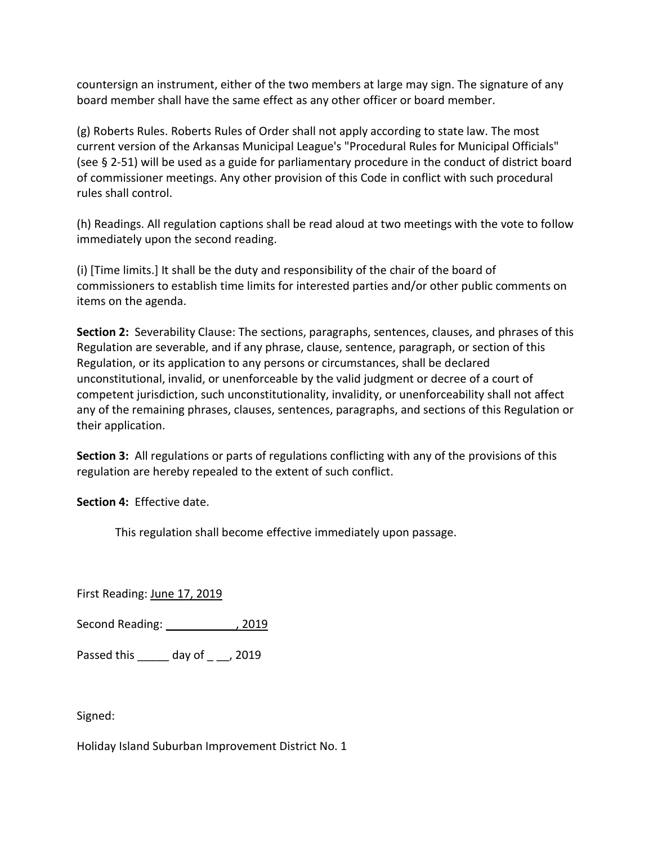countersign an instrument, either of the two members at large may sign. The signature of any board member shall have the same effect as any other officer or board member.

(g) Roberts Rules. Roberts Rules of Order shall not apply according to state law. The most current version of the Arkansas Municipal League's "Procedural Rules for Municipal Officials" (see § 2-51) will be used as a guide for parliamentary procedure in the conduct of district board of commissioner meetings. Any other provision of this Code in conflict with such procedural rules shall control.

(h) Readings. All regulation captions shall be read aloud at two meetings with the vote to follow immediately upon the second reading.

(i) [Time limits.] It shall be the duty and responsibility of the chair of the board of commissioners to establish time limits for interested parties and/or other public comments on items on the agenda.

**Section 2:** Severability Clause: The sections, paragraphs, sentences, clauses, and phrases of this Regulation are severable, and if any phrase, clause, sentence, paragraph, or section of this Regulation, or its application to any persons or circumstances, shall be declared unconstitutional, invalid, or unenforceable by the valid judgment or decree of a court of competent jurisdiction, such unconstitutionality, invalidity, or unenforceability shall not affect any of the remaining phrases, clauses, sentences, paragraphs, and sections of this Regulation or their application.

**Section 3:** All regulations or parts of regulations conflicting with any of the provisions of this regulation are hereby repealed to the extent of such conflict.

**Section 4:** Effective date.

This regulation shall become effective immediately upon passage.

First Reading: June 17, 2019

Second Reading: \_\_\_\_\_\_\_\_\_\_\_\_\_, 2019

Passed this \_\_\_\_\_ day of \_ \_\_, 2019

Signed:

Holiday Island Suburban Improvement District No. 1